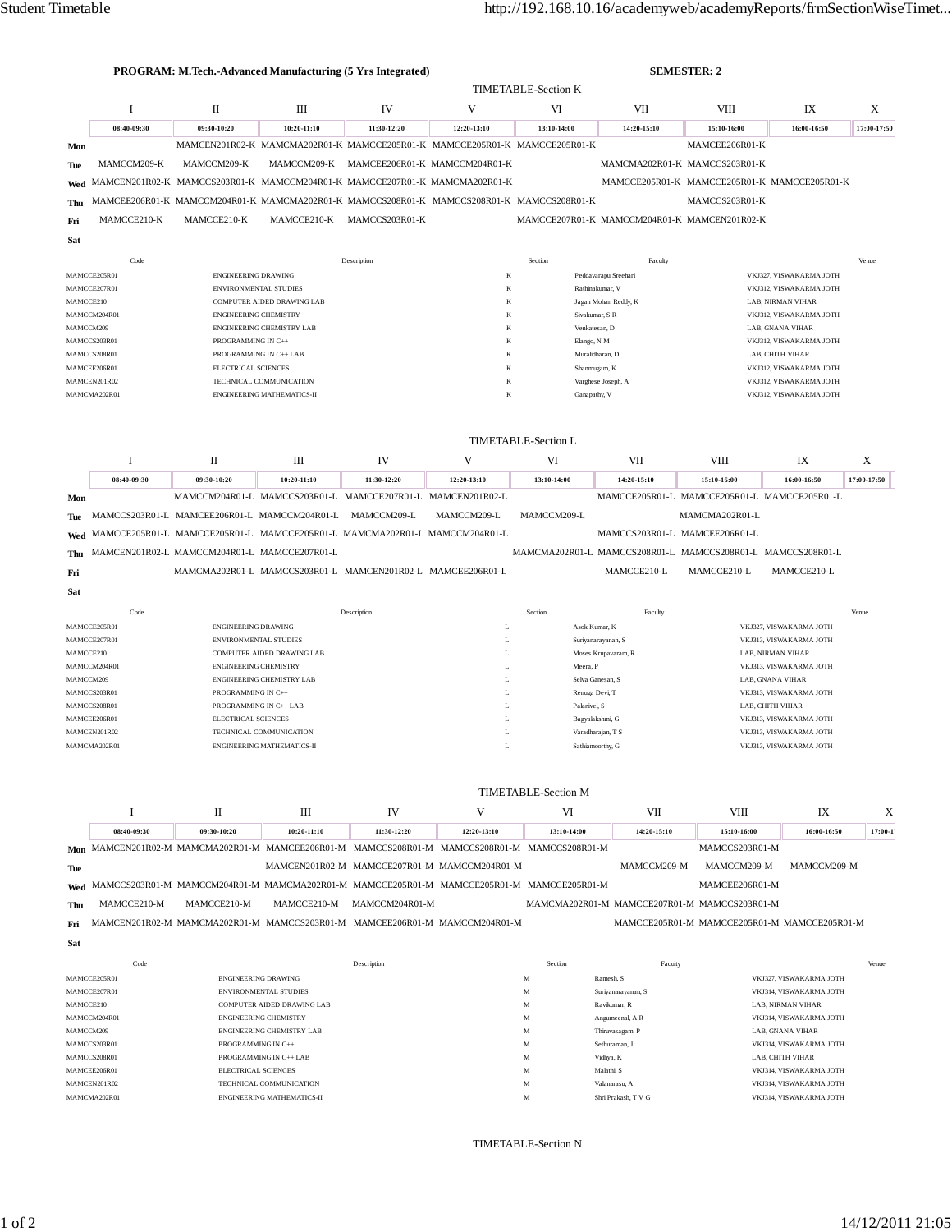|           | PROGRAM: M.Tech.-Advanced Manufacturing (5 Yrs Integrated) |                              |                                                                                           |                |                               |                            |                                              | <b>SEMESTER: 2</b>                           |                         |             |
|-----------|------------------------------------------------------------|------------------------------|-------------------------------------------------------------------------------------------|----------------|-------------------------------|----------------------------|----------------------------------------------|----------------------------------------------|-------------------------|-------------|
|           |                                                            | <b>TIMETABLE-Section K</b>   |                                                                                           |                |                               |                            |                                              |                                              |                         |             |
|           |                                                            | П                            | III                                                                                       | IV             | V                             | VI                         | VII                                          | <b>VIII</b>                                  | IX                      | X           |
|           | 08:40-09:30                                                | 09:30-10:20                  | 10:20-11:10                                                                               | 11:30-12:20    | 12:20-13:10                   | 13:10-14:00                | 14:20-15:10                                  | 15:10-16:00                                  | 16:00-16:50             | 17:00-17:50 |
| Mon       |                                                            |                              | MAMCEN201R02-K MAMCMA202R01-K MAMCCE205R01-K MAMCCE205R01-K MAMCCE205R01-K                |                |                               |                            |                                              | MAMCEE206R01-K                               |                         |             |
| Tue       | MAMCCM209-K                                                | MAMCCM209-K                  | MAMCCM209-K                                                                               |                | MAMCEE206R01-K MAMCCM204R01-K |                            |                                              | MAMCMA202R01-K MAMCCS203R01-K                |                         |             |
| Wed       |                                                            |                              | MAMCEN201R02-K MAMCCS203R01-K MAMCCM204R01-K MAMCCE207R01-K MAMCMA202R01-K                |                |                               |                            |                                              | MAMCCE205R01-K MAMCCE205R01-K MAMCCE205R01-K |                         |             |
| Thu       |                                                            |                              | MAMCEE206R01-K MAMCCM204R01-K MAMCMA202R01-K MAMCCS208R01-K MAMCCS208R01-K MAMCCS208R01-K |                |                               |                            |                                              | MAMCCS203R01-K                               |                         |             |
| Fri       | MAMCCE210-K                                                | MAMCCE210-K                  | MAMCCE210-K                                                                               | MAMCCS203R01-K |                               |                            | MAMCCE207R01-K MAMCCM204R01-K MAMCEN201R02-K |                                              |                         |             |
| Sat       |                                                            |                              |                                                                                           |                |                               |                            |                                              |                                              |                         |             |
|           | Code                                                       |                              |                                                                                           | Description    |                               | Section                    | Faculty                                      |                                              |                         | Venue       |
|           | MAMCCE205R01                                               | <b>ENGINEERING DRAWING</b>   |                                                                                           |                | K                             |                            | Peddavarapu Sreehari                         |                                              | VKJ327, VISWAKARMA JOTH |             |
|           | MAMCCE207R01                                               | <b>ENVIRONMENTAL STUDIES</b> |                                                                                           |                | K                             |                            | Rathinakumar, V                              |                                              | VKJ312, VISWAKARMA JOTH |             |
| MAMCCE210 |                                                            |                              | <b>COMPUTER AIDED DRAWING LAB</b>                                                         |                | K                             |                            | Jagan Mohan Reddy, K                         |                                              | LAB. NIRMAN VIHAR       |             |
|           | MAMCCM204R01                                               | <b>ENGINEERING CHEMISTRY</b> |                                                                                           |                | K                             |                            | Sivakumar, S R                               |                                              | VKJ312, VISWAKARMA JOTH |             |
| MAMCCM209 |                                                            |                              | <b>ENGINEERING CHEMISTRY LAB</b>                                                          |                | K                             |                            | Venkatesan, D                                |                                              | LAB, GNANA VIHAR        |             |
|           | MAMCCS203R01                                               | PROGRAMMING IN C++           |                                                                                           |                | K                             | Elango, N M                |                                              |                                              | VKJ312, VISWAKARMA JOTH |             |
|           | MAMCCS208R01                                               | PROGRAMMING IN C++ LAB       |                                                                                           |                | K                             |                            | Muralidharan, D                              |                                              | LAB, CHITH VIHAR        |             |
|           | MAMCEE206R01                                               | <b>ELECTRICAL SCIENCES</b>   |                                                                                           |                | K                             |                            | Shanmugam, K                                 |                                              | VKJ312, VISWAKARMA JOTH |             |
|           | MAMCEN201R02                                               |                              | TECHNICAL COMMUNICATION                                                                   |                | K                             |                            | Varghese Joseph, A                           |                                              | VKJ312, VISWAKARMA JOTH |             |
|           | MAMCMA202R01                                               |                              | <b>ENGINEERING MATHEMATICS-II</b>                                                         |                | K                             | Ganapathy, V               |                                              |                                              | VKJ312, VISWAKARMA JOTH |             |
|           |                                                            |                              |                                                                                           |                |                               |                            |                                              |                                              |                         |             |
|           |                                                            |                              |                                                                                           |                |                               |                            |                                              |                                              |                         |             |
|           |                                                            |                              |                                                                                           |                |                               | <b>TIMETABLE-Section L</b> |                                              |                                              |                         |             |

|     |             | П                                                                              | Ш             | IV                                                          | v             | VI          | VII         | <b>VIII</b>                                                 | IX          | X           |
|-----|-------------|--------------------------------------------------------------------------------|---------------|-------------------------------------------------------------|---------------|-------------|-------------|-------------------------------------------------------------|-------------|-------------|
|     | 08:40-09:30 | 09:30-10:20                                                                    | $10:20-11:10$ | 11:30-12:20                                                 | $12:20-13:10$ | 13:10-14:00 | 14:20-15:10 | 15:10-16:00                                                 | 16:00-16:50 | 17:00-17:50 |
| Mon |             |                                                                                |               | MAMCCM204R01-L MAMCCS203R01-L MAMCCE207R01-L MAMCEN201R02-L |               |             |             | MAMCCE205R01-L MAMCCE205R01-L MAMCCE205R01-L                |             |             |
|     |             | The MAMCCS203R01-L MAMCEE206R01-L MAMCCM204R01-L                               |               | MAMCCM209-L                                                 | MAMCCM209-L   | MAMCCM209-L |             | MAMCMA202R01-L                                              |             |             |
|     |             | Wed MAMCCE205R01-L MAMCCE205R01-L MAMCCE205R01-L MAMCMA202R01-L MAMCCM204R01-L |               |                                                             |               |             |             | MAMCCS203R01-L MAMCEE206R01-L                               |             |             |
|     |             | Thu MAMCEN201R02-L MAMCCM204R01-L MAMCCE207R01-L                               |               |                                                             |               |             |             | MAMCMA202R01-L MAMCCS208R01-L MAMCCS208R01-L MAMCCS208R01-L |             |             |
| Fri |             | MAMCMA202R01-L MAMCCS203R01-L MAMCEN201R02-L MAMCEE206R01-L                    |               |                                                             |               |             | MAMCCE210-L | MAMCCE210-L                                                 | MAMCCE210-L |             |
| Sat |             |                                                                                |               |                                                             |               |             |             |                                                             |             |             |

| Code         | Description                       | Section | Faculty             | Venue                   |
|--------------|-----------------------------------|---------|---------------------|-------------------------|
| MAMCCE205R01 | <b>ENGINEERING DRAWING</b>        | ь.      | Asok Kumar, K       | VKJ327, VISWAKARMA JOTH |
| MAMCCE207R01 | <b>ENVIRONMENTAL STUDIES</b>      | L       | Suriyanarayanan, S  | VKJ313, VISWAKARMA JOTH |
| MAMCCE210    | COMPUTER AIDED DRAWING LAB        | L       | Moses Krupavaram, R | LAB. NIRMAN VIHAR       |
| MAMCCM204R01 | <b>ENGINEERING CHEMISTRY</b>      | L       | Meera, P            | VKJ313, VISWAKARMA JOTH |
| MAMCCM209    | <b>ENGINEERING CHEMISTRY LAB</b>  | L       | Selva Ganesan, S.   | LAB. GNANA VIHAR        |
| MAMCCS203R01 | PROGRAMMING IN C++                | ı.      | Renuga Devi, T      | VKJ313, VISWAKARMA JOTH |
| MAMCCS208R01 | PROGRAMMING IN C++ LAB            | ı.      | Palanivel, S.       | LAB. CHITH VIHAR        |
| MAMCEE206R01 | <b>ELECTRICAL SCIENCES</b>        | L       | Bagyalakshmi, G     | VKJ313, VISWAKARMA JOTH |
| MAMCEN201R02 | TECHNICAL COMMUNICATION           | ъ.      | Varadharajan, T S   | VKJ313, VISWAKARMA JOTH |
| MAMCMA202R01 | <b>ENGINEERING MATHEMATICS-II</b> | ⊷       | Sathiamoorthy, G    | VKJ313, VISWAKARMA JOTH |

|            | <b>TIMETABLE-Section M</b> |                                                                                               |               |                |                                              |                                              |             |                                              |             |           |  |
|------------|----------------------------|-----------------------------------------------------------------------------------------------|---------------|----------------|----------------------------------------------|----------------------------------------------|-------------|----------------------------------------------|-------------|-----------|--|
|            |                            | П                                                                                             | Ш             | IV             | v                                            | VI                                           | VII         | <b>VIII</b>                                  | IX          | X         |  |
|            | 08:40-09:30                | 09:30-10:20                                                                                   | $10:20-11:10$ | 11:30-12:20    | 12:20-13:10                                  | 13:10-14:00                                  | 14:20-15:10 | 15:10-16:00                                  | 16:00-16:50 | $17:00-1$ |  |
|            |                            | Mon MAMCEN201R02-M MAMCMA202R01-M MAMCEE206R01-M MAMCCS208R01-M MAMCCS208R01-M MAMCCS208R01-M |               |                |                                              |                                              |             | MAMCCS203R01-M                               |             |           |  |
| <b>Tue</b> |                            |                                                                                               |               |                | MAMCEN201R02-M MAMCCE207R01-M MAMCCM204R01-M |                                              | MAMCCM209-M | MAMCCM209-M                                  | MAMCCM209-M |           |  |
|            |                            | Wed MAMCCS203R01-M MAMCCM204R01-M MAMCMA202R01-M MAMCCE205R01-M MAMCCE205R01-M MAMCCE205R01-M |               |                |                                              |                                              |             | MAMCEE206R01-M                               |             |           |  |
| Thu        | MAMCCE210-M                | MAMCCE210-M                                                                                   | MAMCCE210-M   | MAMCCM204R01-M |                                              | MAMCMA202R01-M MAMCCE207R01-M MAMCCS203R01-M |             |                                              |             |           |  |
| Fri        |                            | MAMCEN201R02-M MAMCMA202R01-M MAMCCS203R01-M MAMCEE206R01-M MAMCCM204R01-M                    |               |                |                                              |                                              |             | MAMCCE205R01-M MAMCCE205R01-M MAMCCE205R01-M |             |           |  |
| Sat        |                            |                                                                                               |               |                |                                              |                                              |             |                                              |             |           |  |
|            |                            |                                                                                               |               |                |                                              |                                              |             |                                              |             |           |  |

|              | Code | Description                       |   | Faculty<br>Section  | Venue                   |
|--------------|------|-----------------------------------|---|---------------------|-------------------------|
| MAMCCE205R01 |      | <b>ENGINEERING DRAWING</b>        | M | Ramesh, S.          | VKJ327, VISWAKARMA JOTH |
| MAMCCE207R01 |      | <b>ENVIRONMENTAL STUDIES</b>      | M | Suriyanarayanan, S  | VKJ314. VISWAKARMA JOTH |
| MAMCCE210    |      | <b>COMPUTER AIDED DRAWING LAB</b> | M | Ravikumar, R        | LAB. NIRMAN VIHAR       |
| MAMCCM204R01 |      | <b>ENGINEERING CHEMISTRY</b>      | M | Angumeenal, A R     | VKJ314. VISWAKARMA JOTH |
| MAMCCM209    |      | <b>ENGINEERING CHEMISTRY LAB</b>  | M | Thiruvasagam, P     | LAB, GNANA VIHAR        |
| MAMCCS203R01 |      | PROGRAMMING IN C++                | M | Sethuraman, J       | VKJ314. VISWAKARMA JOTH |
| MAMCCS208R01 |      | PROGRAMMING IN C++ LAB            | M | Vidhya, K           | LAB. CHITH VIHAR        |
| MAMCEE206R01 |      | <b>ELECTRICAL SCIENCES</b>        | M | Malathi, S          | VKJ314. VISWAKARMA JOTH |
| MAMCEN201R02 |      | TECHNICAL COMMUNICATION           | M | Valanarasu, A       | VKJ314. VISWAKARMA JOTH |
| MAMCMA202R01 |      | <b>ENGINEERING MATHEMATICS-II</b> | M | Shri Prakash, T V G | VKJ314, VISWAKARMA JOTH |
|              |      |                                   |   |                     |                         |

TIMETABLE-Section N